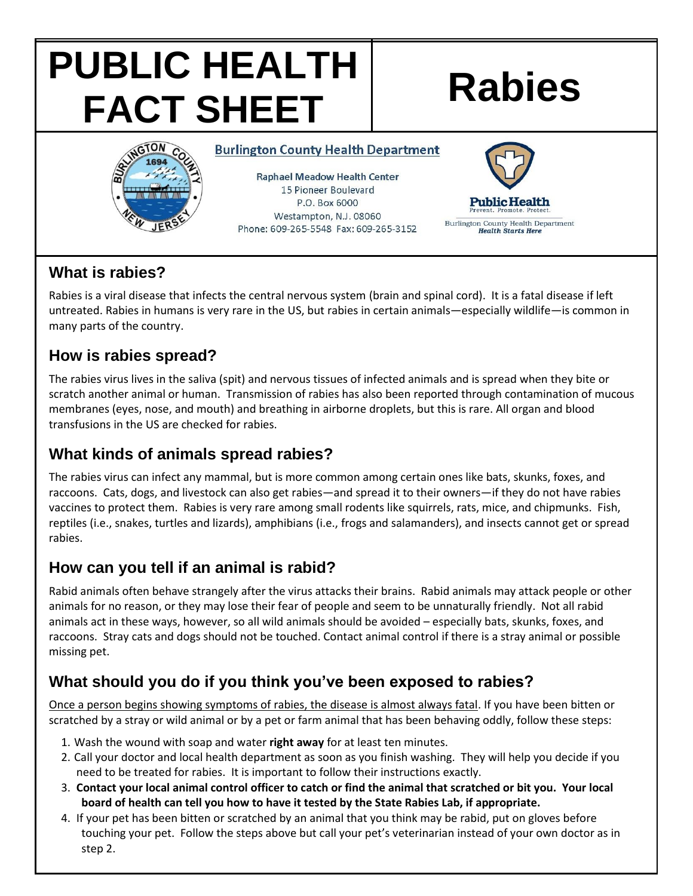# **PUBLIC HEALTH FACT SHEET Rabies**



**Burlington County Health Department** 

**Raphael Meadow Health Center** 15 Pioneer Boulevard P.O. Box 6000 Westampton, N.J. 08060 Phone: 609-265-5548 Fax: 609-265-3152



### **What is rabies?**

Rabies is a viral disease that infects the central nervous system (brain and spinal cord). It is a fatal disease if left untreated. Rabies in humans is very rare in the US, but rabies in certain animals—especially wildlife—is common in many parts of the country.

# **How is rabies spread?**

The rabies virus lives in the saliva (spit) and nervous tissues of infected animals and is spread when they bite or scratch another animal or human. Transmission of rabies has also been reported through contamination of mucous membranes (eyes, nose, and mouth) and breathing in airborne droplets, but this is rare. All organ and blood transfusions in the US are checked for rabies.

# **What kinds of animals spread rabies?**

The rabies virus can infect any mammal, but is more common among certain ones like bats, skunks, foxes, and raccoons. Cats, dogs, and livestock can also get rabies—and spread it to their owners—if they do not have rabies vaccines to protect them. Rabies is very rare among small rodents like squirrels, rats, mice, and chipmunks. Fish, reptiles (i.e., snakes, turtles and lizards), amphibians (i.e., frogs and salamanders), and insects cannot get or spread rabies.

# **How can you tell if an animal is rabid?**

Rabid animals often behave strangely after the virus attacks their brains. Rabid animals may attack people or other animals for no reason, or they may lose their fear of people and seem to be unnaturally friendly. Not all rabid animals act in these ways, however, so all wild animals should be avoided – especially bats, skunks, foxes, and raccoons. Stray cats and dogs should not be touched. Contact animal control if there is a stray animal or possible missing pet.

# **What should you do if you think you've been exposed to rabies?**

Once a person begins showing symptoms of rabies, the disease is almost always fatal. If you have been bitten or scratched by a stray or wild animal or by a pet or farm animal that has been behaving oddly, follow these steps:

- 1. Wash the wound with soap and water **right away** for at least ten minutes.
- 2. Call your doctor and local health department as soon as you finish washing. They will help you decide if you need to be treated for rabies. It is important to follow their instructions exactly.
- 3. **Contact your local animal control officer to catch or find the animal that scratched or bit you. Your local board of health can tell you how to have it tested by the State Rabies Lab, if appropriate.**
- 4. If your pet has been bitten or scratched by an animal that you think may be rabid, put on gloves before touching your pet. Follow the steps above but call your pet's veterinarian instead of your own doctor as in step 2.